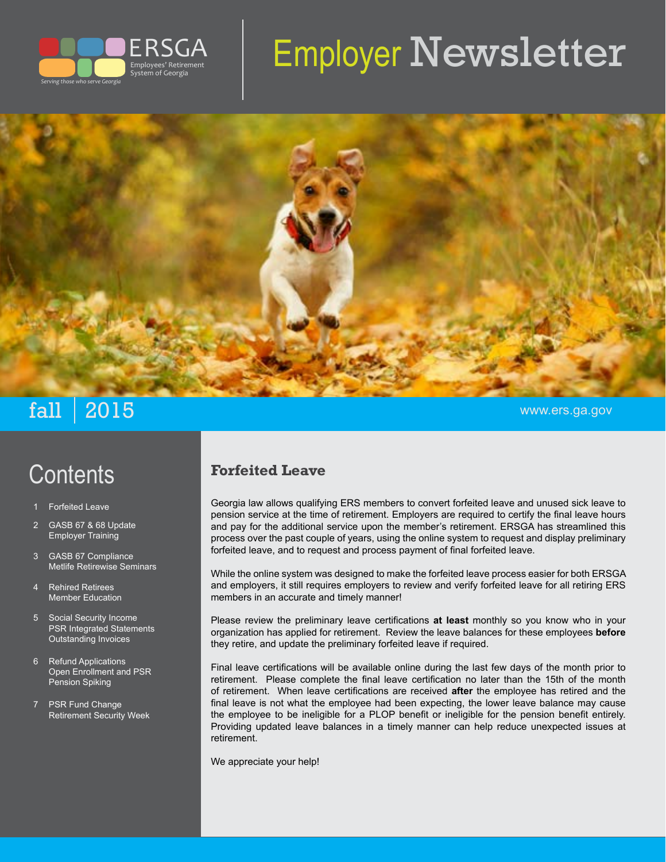

# Employer Newsletter



# $\mathbf{fall}$  | 2015  $\blacksquare$

#### **Forfeited Leave**

Georgia law allows qualifying ERS members to convert forfeited leave and unused sick leave to pension service at the time of retirement. Employers are required to certify the final leave hours and pay for the additional service upon the member's retirement. ERSGA has streamlined this process over the past couple of years, using the online system to request and display preliminary forfeited leave, and to request and process payment of final forfeited leave.

While the online system was designed to make the forfeited leave process easier for both ERSGA and employers, it still requires employers to review and verify forfeited leave for all retiring ERS members in an accurate and timely manner!

Please review the preliminary leave certifications **at least** monthly so you know who in your organization has applied for retirement. Review the leave balances for these employees **before** they retire, and update the preliminary forfeited leave if required.

Final leave certifications will be available online during the last few days of the month prior to retirement. Please complete the final leave certification no later than the 15th of the month of retirement. When leave certifications are received **after** the employee has retired and the final leave is not what the employee had been expecting, the lower leave balance may cause the employee to be ineligible for a PLOP benefit or ineligible for the pension benefit entirely. Providing updated leave balances in a timely manner can help reduce unexpected issues at retirement.

We appreciate your help!

**Forfeited Leave** 

**Contents** 

- 2 GASB 67 & 68 Update Employer Training
- 3 GASB 67 Compliance Metlife Retirewise Seminars
- 4 Rehired Retirees Member Education
- 5 Social Security Income PSR Integrated Statements Outstanding Invoices
- 6 Refund Applications Open Enrollment and PSR Pension Spiking
- 7 PSR Fund Change Retirement Security Week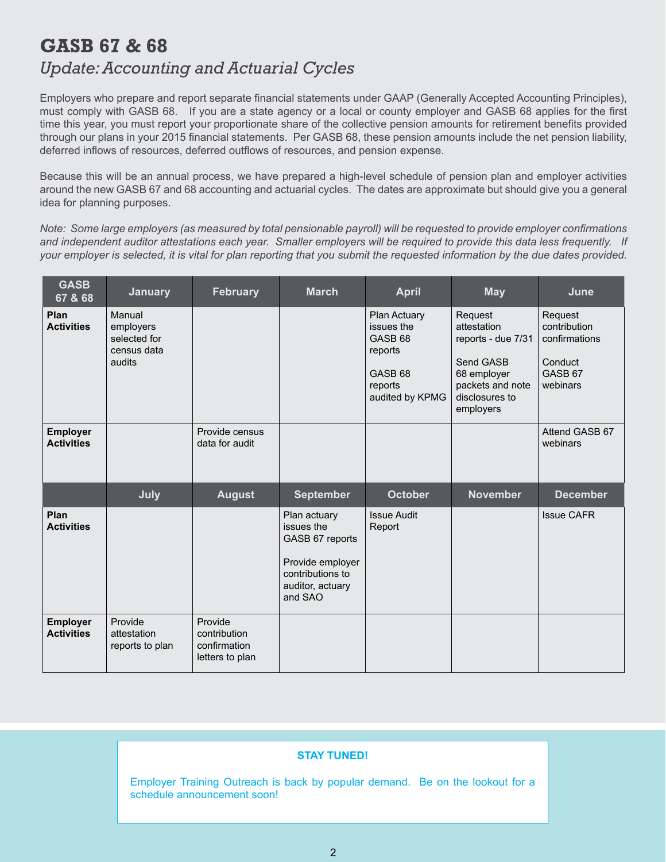## **GASB 67 & 68**  *Update: Accounting and Actuarial Cycles*

Employers who prepare and report separate financial statements under GAAP (Generally Accepted Accounting Principles), must comply with GASB 68. If you are a state agency or a local or county employer and GASB 68 applies for the first time this year, you must report your proportionate share of the collective pension amounts for retirement benefits provided through our plans in your 2015 financial statements. Per GASB 68, these pension amounts include the net pension liability, deferred inflows of resources, deferred outflows of resources, and pension expense.

Because this will be an annual process, we have prepared a high-level schedule of pension plan and employer activities around the new GASB 67 and 68 accounting and actuarial cycles. The dates are approximate but should give you a general idea for planning purposes.

*Note: Some large employers (as measured by total pensionable payroll) will be requested to provide employer confirmations and independent auditor attestations each year. Smaller employers will be required to provide this data less frequently. If your employer is selected, it is vital for plan reporting that you submit the requested information by the due dates provided.*

| <b>GASB</b><br>67 & 68               | <b>January</b>                                               | <b>February</b>                  | <b>March</b>                                                                                                         | <b>April</b>                                                                                                    | <b>May</b>                                                                                                                  | June                                                                                  |
|--------------------------------------|--------------------------------------------------------------|----------------------------------|----------------------------------------------------------------------------------------------------------------------|-----------------------------------------------------------------------------------------------------------------|-----------------------------------------------------------------------------------------------------------------------------|---------------------------------------------------------------------------------------|
| Plan<br><b>Activities</b>            | Manual<br>employers<br>selected for<br>census data<br>audits |                                  |                                                                                                                      | Plan Actuary<br>issues the<br>GASB <sub>68</sub><br>reports<br>GASB <sub>68</sub><br>reports<br>audited by KPMG | Request<br>attestation<br>reports - due 7/31<br>Send GASB<br>68 employer<br>packets and note<br>disclosures to<br>employers | Request<br>contribution<br>confirmations<br>Conduct<br>GASB <sub>67</sub><br>webinars |
| <b>Employer</b><br><b>Activities</b> |                                                              | Provide census<br>data for audit |                                                                                                                      |                                                                                                                 |                                                                                                                             | Attend GASB 67<br>webinars                                                            |
|                                      | July                                                         | <b>August</b>                    | <b>September</b>                                                                                                     | <b>October</b>                                                                                                  | <b>November</b>                                                                                                             | <b>December</b>                                                                       |
|                                      |                                                              |                                  |                                                                                                                      |                                                                                                                 |                                                                                                                             |                                                                                       |
| Plan<br><b>Activities</b>            |                                                              |                                  | Plan actuary<br>issues the<br>GASB 67 reports<br>Provide employer<br>contributions to<br>auditor, actuary<br>and SAO | <b>Issue Audit</b><br>Report                                                                                    |                                                                                                                             | <b>Issue CAFR</b>                                                                     |

#### **STAY TUNED!**

Employer Training Outreach is back by popular demand. Be on the lookout for a schedule announcement soon!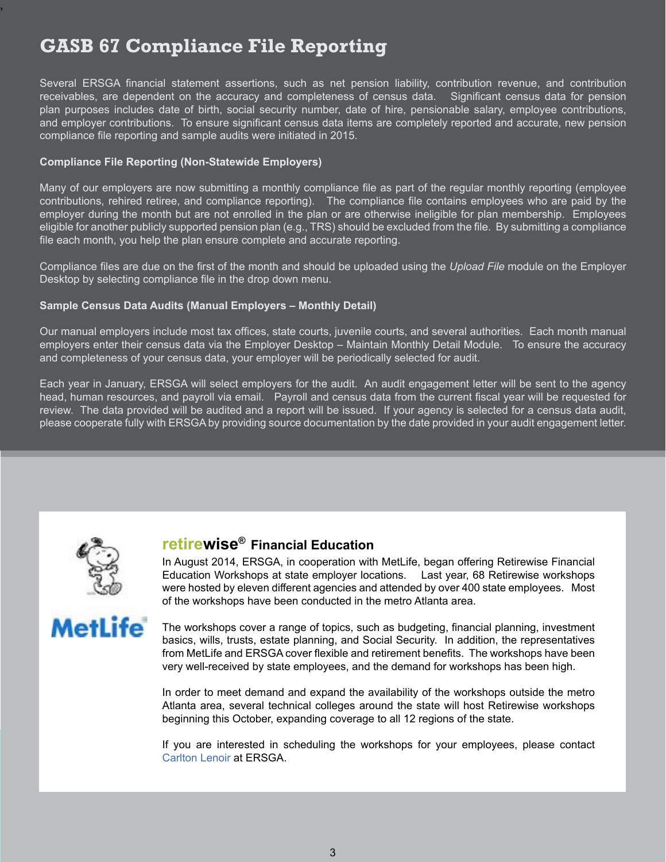# **GASB 67 Compliance File Reporting**

Several ERSGA financial statement assertions, such as net pension liability, contribution revenue, and contribution receivables, are dependent on the accuracy and completeness of census data. Significant census data for pension plan purposes includes date of birth, social security number, date of hire, pensionable salary, employee contributions, and employer contributions. To ensure significant census data items are completely reported and accurate, new pension compliance file reporting and sample audits were initiated in 2015.

#### **Compliance File Reporting (Non-Statewide Employers)**

Many of our employers are now submitting a monthly compliance file as part of the regular monthly reporting (employee contributions, rehired retiree, and compliance reporting). The compliance file contains employees who are paid by the employer during the month but are not enrolled in the plan or are otherwise ineligible for plan membership. Employees eligible for another publicly supported pension plan (e.g., TRS) should be excluded from the file. By submitting a compliance file each month, you help the plan ensure complete and accurate reporting.

Compliance files are due on the first of the month and should be uploaded using the *Upload File* module on the Employer Desktop by selecting compliance file in the drop down menu.

#### **Sample Census Data Audits (Manual Employers – Monthly Detail)**

Our manual employers include most tax offices, state courts, juvenile courts, and several authorities. Each month manual employers enter their census data via the Employer Desktop – Maintain Monthly Detail Module. To ensure the accuracy and completeness of your census data, your employer will be periodically selected for audit.

Each year in January, ERSGA will select employers for the audit. An audit engagement letter will be sent to the agency head, human resources, and payroll via email. Payroll and census data from the current fiscal year will be requested for review. The data provided will be audited and a report will be issued. If your agency is selected for a census data audit, please cooperate fully with ERSGA by providing source documentation by the date provided in your audit engagement letter.



,

### **retirewise® Financial Education**

In August 2014, ERSGA, in cooperation with MetLife, began offering Retirewise Financial Education Workshops at state employer locations. Last year, 68 Retirewise workshops were hosted by eleven different agencies and attended by over 400 state employees. Most of the workshops have been conducted in the metro Atlanta area.



The workshops cover a range of topics, such as budgeting, financial planning, investment basics, wills, trusts, estate planning, and Social Security. In addition, the representatives from MetLife and ERSGA cover flexible and retirement benefits. The workshops have been very well-received by state employees, and the demand for workshops has been high.

In order to meet demand and expand the availability of the workshops outside the metro Atlanta area, several technical colleges around the state will host Retirewise workshops beginning this October, expanding coverage to all 12 regions of the state.

If you are interested in scheduling the workshops for your employees, please contact [Carlton Lenoir](mailto:carlton.lenoir@ers.ga.gov) at ERSGA.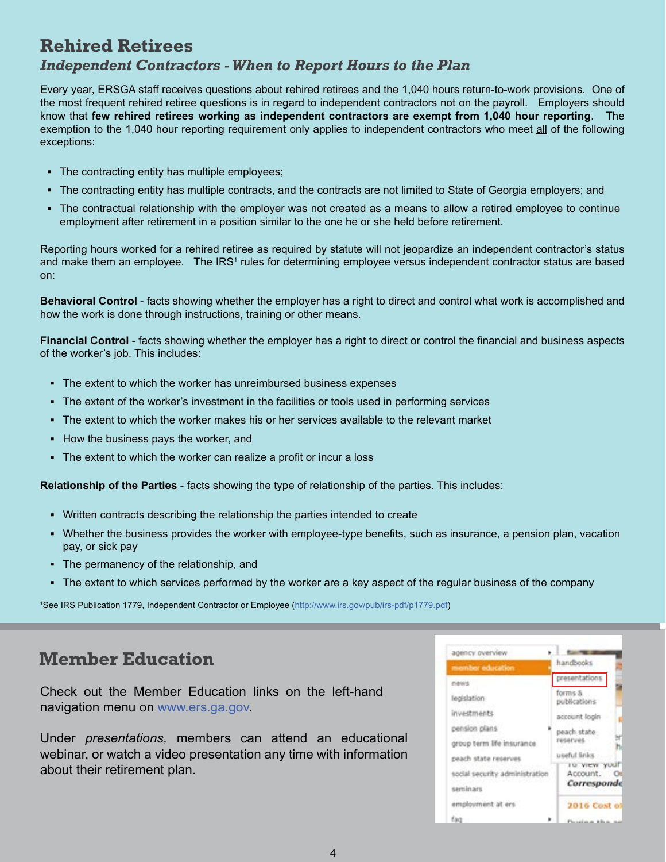## **Rehired Retirees**

#### *Independent Contractors - When to Report Hours to the Plan*

Every year, ERSGA staff receives questions about rehired retirees and the 1,040 hours return-to-work provisions. One of the most frequent rehired retiree questions is in regard to independent contractors not on the payroll. Employers should know that **few rehired retirees working as independent contractors are exempt from 1,040 hour reporting**. The exemption to the 1,040 hour reporting requirement only applies to independent contractors who meet all of the following exceptions:

- **▪** The contracting entity has multiple employees;
- The contracting entity has multiple contracts, and the contracts are not limited to State of Georgia employers; and
- **▪** The contractual relationship with the employer was not created as a means to allow a retired employee to continue employment after retirement in a position similar to the one he or she held before retirement.

Reporting hours worked for a rehired retiree as required by statute will not jeopardize an independent contractor's status and make them an employee. The IRS1 rules for determining employee versus independent contractor status are based on:

**Behavioral Control** - facts showing whether the employer has a right to direct and control what work is accomplished and how the work is done through instructions, training or other means.

**Financial Control** - facts showing whether the employer has a right to direct or control the financial and business aspects of the worker's job. This includes:

- The extent to which the worker has unreimbursed business expenses
- The extent of the worker's investment in the facilities or tools used in performing services
- **▪** The extent to which the worker makes his or her services available to the relevant market
- **▪** How the business pays the worker, and
- **▪** The extent to which the worker can realize a profit or incur a loss

**Relationship of the Parties** - facts showing the type of relationship of the parties. This includes:

- **▪** Written contracts describing the relationship the parties intended to create
- **▪** Whether the business provides the worker with employee-type benefits, such as insurance, a pension plan, vacation pay, or sick pay
- The permanency of the relationship, and
- The extent to which services performed by the worker are a key aspect of the regular business of the company

1 See IRS Publication 1779, Independent Contractor or Employee [\(http://www.irs.gov/pub/irs-pdf/p1779.pdf\)](mailto:carlton.lenoir@ers.ga.gov)

## **Member Education**

Check out the Member Education links on the left-hand navigation menu on [www.ers.ga.gov.](http://www.ers.ga.gov)

Under *presentations,* members can attend an educational webinar, or watch a video presentation any time with information about their retirement plan.

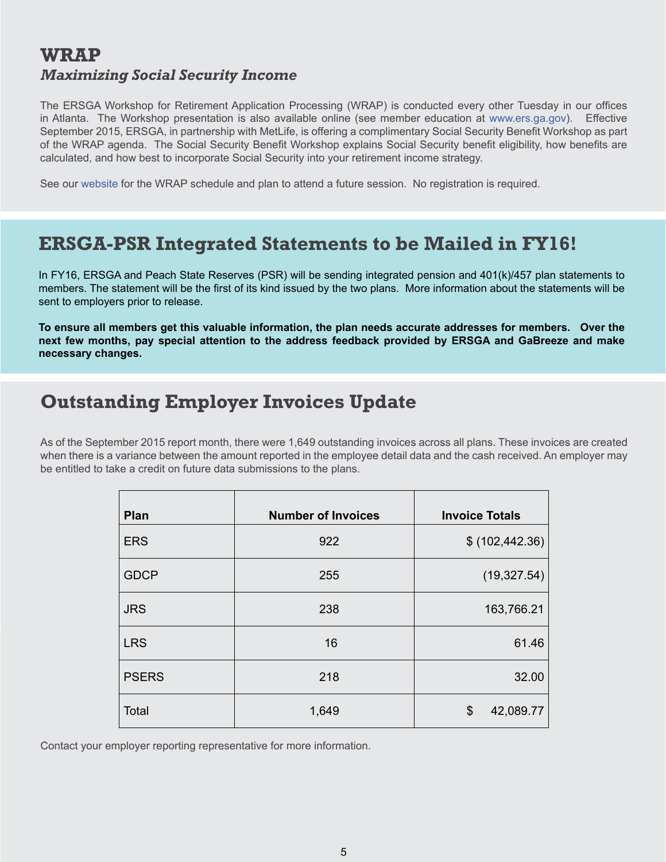## **WRAP** *Maximizing Social Security Income*

The ERSGA Workshop for Retirement Application Processing (WRAP) is conducted every other Tuesday in our offices in Atlanta. The Workshop presentation is also available online (see member education at [www.ers.ga.gov](http://www.ers.ga.gov)). Effective September 2015, ERSGA, in partnership with MetLife, is offering a complimentary Social Security Benefit Workshop as part of the WRAP agenda. The Social Security Benefit Workshop explains Social Security benefit eligibility, how benefits are calculated, and how best to incorporate Social Security into your retirement income strategy.

See our [website](http://www.ers.ga.gov) for the WRAP schedule and plan to attend a future session. No registration is required.

## **ERSGA-PSR Integrated Statements to be Mailed in FY16!**

In FY16, ERSGA and Peach State Reserves (PSR) will be sending integrated pension and 401(k)/457 plan statements to members. The statement will be the first of its kind issued by the two plans. More information about the statements will be sent to employers prior to release.

**To ensure all members get this valuable information, the plan needs accurate addresses for members. Over the next few months, pay special attention to the address feedback provided by ERSGA and GaBreeze and make necessary changes.** 

## **Outstanding Employer Invoices Update**

As of the September 2015 report month, there were 1,649 outstanding invoices across all plans. These invoices are created when there is a variance between the amount reported in the employee detail data and the cash received. An employer may be entitled to take a credit on future data submissions to the plans.

| Plan         | <b>Number of Invoices</b> | <b>Invoice Totals</b> |
|--------------|---------------------------|-----------------------|
| <b>ERS</b>   | 922                       | \$ (102, 442.36)      |
| <b>GDCP</b>  | 255                       | (19, 327.54)          |
| <b>JRS</b>   | 238                       | 163,766.21            |
| <b>LRS</b>   | 16                        | 61.46                 |
| <b>PSERS</b> | 218                       | 32.00                 |
| Total        | 1,649                     | \$<br>42,089.77       |

Contact your employer reporting representative for more information.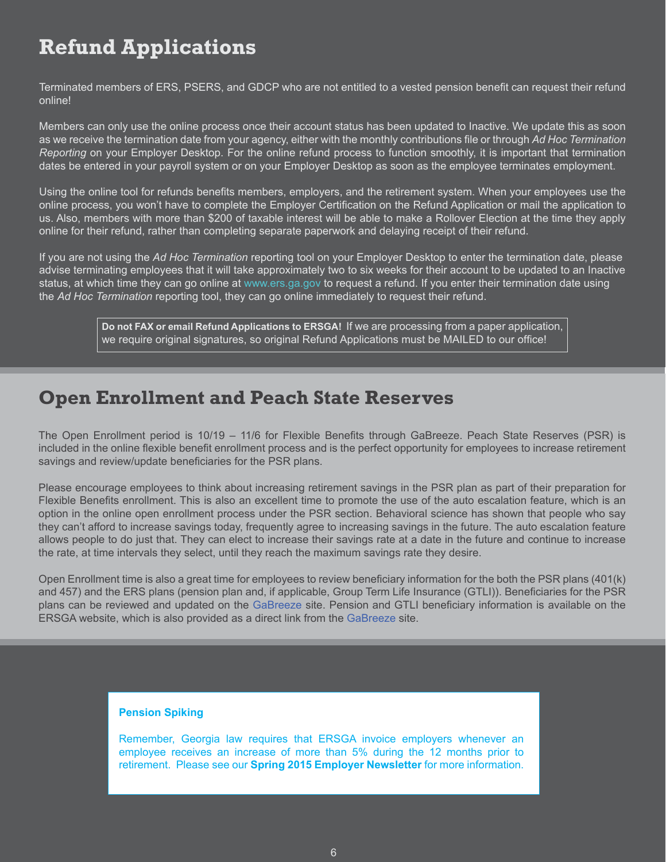# **Refund Applications**

Terminated members of ERS, PSERS, and GDCP who are not entitled to a vested pension benefit can request their refund online!

Members can only use the online process once their account status has been updated to Inactive. We update this as soon as we receive the termination date from your agency, either with the monthly contributions file or through *Ad Hoc Termination Reporting* on your Employer Desktop. For the online refund process to function smoothly, it is important that termination dates be entered in your payroll system or on your Employer Desktop as soon as the employee terminates employment.

Using the online tool for refunds benefits members, employers, and the retirement system. When your employees use the online process, you won't have to complete the Employer Certification on the Refund Application or mail the application to us. Also, members with more than \$200 of taxable interest will be able to make a Rollover Election at the time they apply online for their refund, rather than completing separate paperwork and delaying receipt of their refund.

If you are not using the *Ad Hoc Termination* reporting tool on your Employer Desktop to enter the termination date, please advise terminating employees that it will take approximately two to six weeks for their account to be updated to an Inactive status, at which time they can go online at [www.ers.ga.gov](http://www.ers.ga.gov) to request a refund. If you enter their termination date using the *Ad Hoc Termination* reporting tool, they can go online immediately to request their refund.

> **Do not FAX or email Refund Applications to ERSGA!** If we are processing from a paper application, we require original signatures, so original Refund Applications must be MAILED to our office!

## **Open Enrollment and Peach State Reserves**

The Open Enrollment period is 10/19 – 11/6 for Flexible Benefits through GaBreeze. Peach State Reserves (PSR) is included in the online flexible benefit enrollment process and is the perfect opportunity for employees to increase retirement savings and review/update beneficiaries for the PSR plans.

Please encourage employees to think about increasing retirement savings in the PSR plan as part of their preparation for Flexible Benefits enrollment. This is also an excellent time to promote the use of the auto escalation feature, which is an option in the online open enrollment process under the PSR section. Behavioral science has shown that people who say they can't afford to increase savings today, frequently agree to increasing savings in the future. The auto escalation feature allows people to do just that. They can elect to increase their savings rate at a date in the future and continue to increase the rate, at time intervals they select, until they reach the maximum savings rate they desire.

Open Enrollment time is also a great time for employees to review beneficiary information for the both the PSR plans (401(k) and 457) and the ERS plans (pension plan and, if applicable, Group Term Life Insurance (GTLI)). Beneficiaries for the PSR plans can be reviewed and updated on the [GaBreeze](http://gabreeze.ga.gov) site. Pension and GTLI beneficiary information is available on the ERSGA website, which is also provided as a direct link from the [GaBreeze](http://gabreeze.ga.gov) site.

#### **Pension Spiking**

Remember, Georgia law requires that ERSGA invoice employers whenever an employee receives an increase of more than 5% during the 12 months prior to retirement. Please see our **[Spring 2015 Employer Newsletter](http://www.ers.ga.gov/Docs/Formsandpubs/EmployerNewsletterSpring2015.pdf)** for more information.